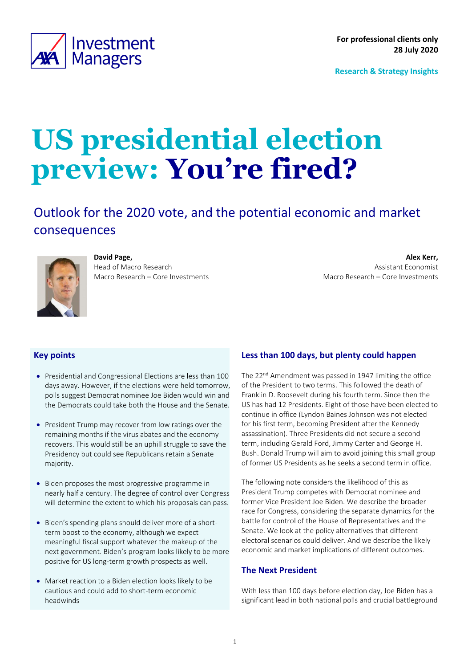<span id="page-0-0"></span>

**Research & Strategy Insights**

# **US presidential election preview: You're fired?**

Outlook for the 2020 vote, and the potential economic and market consequences



# **David Page,**

Head of Macro Research Macro Research – Core Investments

**Alex Kerr,** Assistant Economist Macro Research – Core Investments

# **Key points**

- Presidential and Congressional Elections are less than 100 days away. However, if the elections were held tomorrow, polls suggest Democrat nominee Joe Biden would win and the Democrats could take both the House and the Senate.
- President Trump may recover from low ratings over the remaining months if the virus abates and the economy recovers. This would still be an uphill struggle to save the Presidency but could see Republicans retain a Senate majority.
- Biden proposes the most progressive programme in nearly half a century. The degree of control over Congress will determine the extent to which his proposals can pass.
- Biden's spending plans should deliver more of a shortterm boost to the economy, although we expect meaningful fiscal support whatever the makeup of the next government. Biden's program looks likely to be more positive for US long-term growth prospects as well.
- Market reaction to a Biden election looks likely to be cautious and could add to short-term economic headwinds

# **Less than 100 days, but plenty could happen**

The 22<sup>nd</sup> Amendment was passed in 1947 limiting the office of the President to two terms. This followed the death of Franklin D. Roosevelt during his fourth term. Since then the US has had 12 Presidents. Eight of those have been elected to continue in office (Lyndon Baines Johnson was not elected for his first term, becoming President after the Kennedy assassination). Three Presidents did not secure a second term, including Gerald Ford, Jimmy Carter and George H. Bush. Donald Trump will aim to avoid joining this small group of former US Presidents as he seeks a second term in office.

The following note considers the likelihood of this as President Trump competes with Democrat nominee and former Vice President Joe Biden. We describe the broader race for Congress, considering the separate dynamics for the battle for control of the House of Representatives and the Senate. We look at the policy alternatives that different electoral scenarios could deliver. And we describe the likely economic and market implications of different outcomes.

# **The Next President**

With less than 100 days before election day, Joe Biden has a significant lead in both national polls and crucial battleground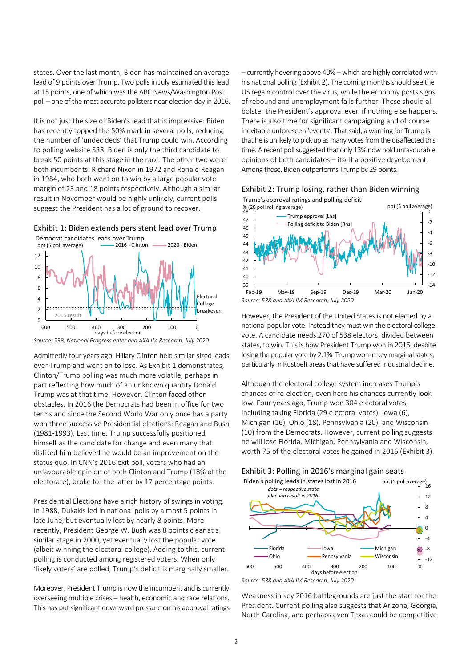states. Over the last month, Biden has maintained an average lead of 9 points over Trump. Two polls in July estimated this lead at 15 points, one of which was the ABC News/Washington Post poll – one of the most accurate pollsters near election day in 2016.

It is not just the size of Biden's lead that is impressive: Biden has recently topped the 50% mark in several polls, reducing the number of 'undecideds' that Trump could win. According to polling website 538, Biden is only the third candidate to break 50 points at this stage in the race. The other two were both incumbents: Richard Nixon in 1972 and Ronald Reagan in 1984, who both went on to win by a large popular vote margin of 23 and 18 points respectively. Although a similar result in November would be highly unlikely, current polls suggest the President has a lot of ground to recover.

<span id="page-1-0"></span>



*Source: 538, National Progress enter and AXA IM Research, July 2020*

Admittedly four years ago, Hillary Clinton held similar-sized leads over Trump and went on to lose. As [Exhibit 1](#page-1-0) demonstrates, Clinton/Trump polling was much more volatile, perhaps in part reflecting how much of an unknown quantity Donald Trump was at that time. However, Clinton faced other obstacles. In 2016 the Democrats had been in office for two terms and since the Second World War only once has a party won three successive Presidential elections: Reagan and Bush (1981-1993). Last time, Trump successfully positioned himself as the candidate for change and even many that disliked him believed he would be an improvement on the status quo. In CNN's 2016 exit poll, voters who had an unfavourable opinion of both Clinton and Trump (18% of the electorate), broke for the latter by 17 percentage points.

Presidential Elections have a rich history of swings in voting. In 1988, Dukakis led in national polls by almost 5 points in late June, but eventually lost by nearly 8 points. More recently, President George W. Bush was 8 points clear at a similar stage in 2000, yet eventually lost the popular vote (albeit winning the electoral college). Adding to this, current polling is conducted among registered voters. When only 'likely voters' are polled, Trump's deficit is marginally smaller.

Moreover, President Trump is now the incumbent and is currently overseeing multiple crises – health, economic and race relations. This has put significant downward pressure on his approval ratings – currently hovering above 40% –which are highly correlated with his national polling [\(Exhibit 2\)](#page-1-1). The coming months should see the US regain control over the virus, while the economy posts signs of rebound and unemployment falls further. These should all bolster the President's approval even if nothing else happens. There is also time for significant campaigning and of course inevitable unforeseen 'events'. That said, a warning for Trump is that he is unlikely to pick up as many votes from the disaffected this time. A recent poll suggested that only 13% now hold unfavourable opinions of both candidates – itself a positive development. Among those, Biden outperforms Trump by 29 points.

<span id="page-1-1"></span>



However, the President of the United States is not elected by a national popular vote. Instead they must win the electoral college vote. A candidate needs 270 of 538 electors, divided between states, to win. This is how President Trump won in 2016, despite losing the popular vote by 2.1%. Trump won in key marginal states, particularly in Rustbelt areas that have suffered industrial decline.

Although the electoral college system increases Trump's chances of re-election, even here his chances currently look low. Four years ago, Trump won 304 electoral votes, including taking Florida (29 electoral votes), Iowa (6), Michigan (16), Ohio (18), Pennsylvania (20), and Wisconsin (10) from the Democrats. However, current polling suggests he will lose Florida, Michigan, Pennsylvania and Wisconsin, worth 75 of the electoral votes he gained in 2016 [\(Exhibit 3\)](#page-1-2).

<span id="page-1-2"></span>



*Source: 538 and AXA IM Research, July 2020*

Weakness in key 2016 battlegrounds are just the start for the President. Current polling also suggests that Arizona, Georgia, North Carolina, and perhaps even Texas could be competitive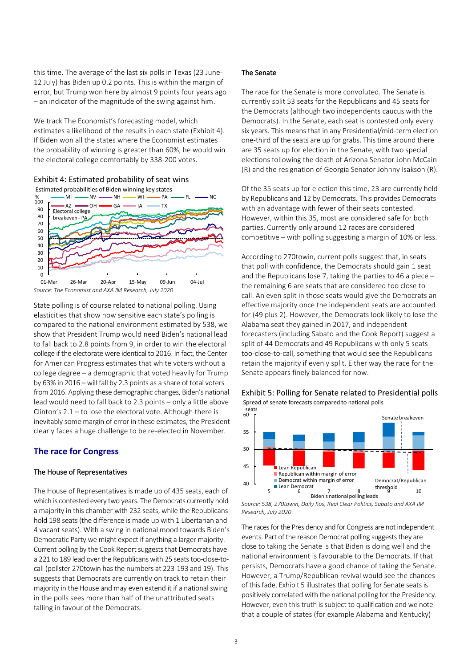this time. The average of the last six polls in Texas (23 June-12 July) has Biden up 0.2 points. This is within the margin of error, but Trump won here by almost 9 points four years ago – an indicator of the magnitude of the swing against him.

We track The Economist's forecasting model, which estimates a likelihood of the results in each state [\(Exhibit 4\)](#page-2-0). If Biden won all the states where the Economist estimates the probability of winning is greater than 60%, he would win the electoral college comfortably by 338-200 votes.

<span id="page-2-0"></span>Exhibit 4: Estimated probability of seat wins



State polling is of course related to national polling. Using elasticities that show how sensitive each state's polling is compared to the national environment estimated by 538, we show that President Trump would need Biden's national lead to fall back to 2.8 points from 9, in order to win the electoral college if the electorate were identical to 2016. In fact, the Center for American Progress estimates that white voters without a college degree – a demographic that voted heavily for Trump by 63% in 2016 – will fall by 2.3 points as a share of total voters from 2016. Applying these demographic changes, Biden's national lead would need to fall back to 2.3 points – only a little above Clinton's 2.1 – to lose the electoral vote. Although there is inevitably some margin of error in these estimates, the President clearly faces a huge challenge to be re-elected in November.

# **The race for Congress**

#### The House of Representatives

The House of Representatives is made up of 435 seats, each of which is contested every two years. The Democrats currently hold a majority in this chamber with 232 seats, while the Republicans hold 198 seats (the difference is made up with 1 Libertarian and 4 vacant seats). With a swing in national mood towards Biden's Democratic Party we might expect if anything a larger majority. Current polling by the Cook Report suggests that Democrats have a 221 to 189 lead over the Republicans with 25 seats too-close-tocall (pollster 270towin has the numbers at 223-193 and 19). This suggests that Democrats are currently on track to retain their majority in the House and may even extend it if a national swing in the polls sees more than half of the unattributed seats falling in favour of the Democrats.

#### The Senate

The race for the Senate is more convoluted. The Senate is currently split 53 seats for the Republicans and 45 seats for the Democrats (although two independents caucus with the Democrats). In the Senate, each seat is contested only every six years. This means that in any Presidential/mid-term election one-third of the seats are up for grabs. This time around there are 35 seats up for election in the Senate, with two special elections following the death of Arizona Senator John McCain (R) and the resignation of Georgia Senator Johnny Isakson (R).

Of the 35 seats up for election this time, 23 are currently held by Republicans and 12 by Democrats. This provides Democrats with an advantage with fewer of their seats contested. However, within this 35, most are considered safe for both parties. Currently only around 12 races are considered competitive – with polling suggesting a margin of 10% or less.

According to 270towin, current polls suggest that, in seats that poll with confidence, the Democrats should gain 1 seat and the Republicans lose 7, taking the parties to 46 a piece – the remaining 6 are seats that are considered too close to call. An even split in those seats would give the Democrats an effective majority once the independent seats are accounted for (49 plus 2). However, the Democrats look likely to lose the Alabama seat they gained in 2017, and independent forecasters (including Sabato and the Cook Report) suggest a split of 44 Democrats and 49 Republicans with only 5 seats too-close-to-call, something that would see the Republicans retain the majority if evenly split. Either way the race for the Senate appears finely balanced for now.

<span id="page-2-1"></span>Exhibit 5: Polling for Senate related to Presidential polls Spread of senate forecasts compared to national polls



*Source: 538, 270towin, Daily Kos, Real Clear Politics, Sabato and AXA IM Research, July 2020*

The races for the Presidency and for Congress are not independent events. Part of the reason Democrat polling suggests they are close to taking the Senate is that Biden is doing well and the national environment is favourable to the Democrats. If that persists, Democrats have a good chance of taking the Senate. However, a Trump/Republican revival would see the chances of this fade[. Exhibit 5](#page-2-1) illustrates that polling for Senate seats is positively correlated with the national polling for the Presidency. However, even this truth is subject to qualification and we note that a couple of states (for example Alabama and Kentucky)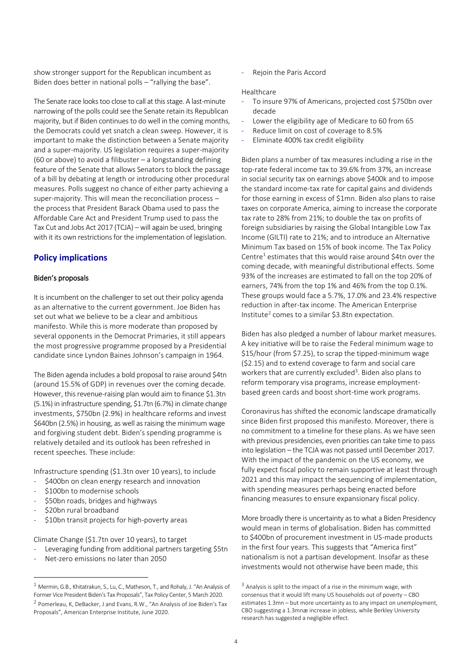show stronger support for the Republican incumbent as Biden does better in national polls – "rallying the base".

The Senate race looks too close to call at this stage. A last-minute narrowing of the polls could see the Senate retain its Republican majority, but if Biden continues to do well in the coming months, the Democrats could yet snatch a clean sweep. However, it is important to make the distinction between a Senate majority and a super-majority. US legislation requires a super-majority (60 or above) to avoid a filibuster – a longstanding defining feature of the Senate that allows Senators to block the passage of a bill by debating at length or introducing other procedural measures. Polls suggest no chance of either party achieving a super-majority. This will mean the reconciliation process – the process that President Barack Obama used to pass the Affordable Care Act and President Trump used to pass the Tax Cut and Jobs Act 2017 (TCJA) – will again be used, bringing with it its own restrictions for the implementation of legislation.

# **Policy implications**

#### Biden's proposals

It is incumbent on the challenger to set out their policy agenda as an alternative to the current government. Joe Biden has set out what we believe to be a clear and ambitious manifesto. While this is more moderate than proposed by several opponents in the Democrat Primaries, it still appears the most progressive programme proposed by a Presidential candidate since Lyndon Baines Johnson's campaign in 1964.

The Biden agenda includes a bold proposal to raise around \$4tn (around 15.5% of GDP) in revenues over the coming decade. However, this revenue-raising plan would aim to finance \$1.3tn (5.1%) in infrastructure spending, \$1.7tn (6.7%) in climate change investments, \$750bn (2.9%) in healthcare reforms and invest \$640bn (2.5%) in housing, as well as raising the minimum wage and forgiving student debt. Biden's spending programme is relatively detailed and its outlook has been refreshed in recent speeches. These include:

Infrastructure spending (\$1.3tn over 10 years), to include

- \$400bn on clean energy research and innovation
- \$100bn to modernise schools
- \$50bn roads, bridges and highways
- \$20bn rural broadband

 $\overline{a}$ 

\$10bn transit projects for high-poverty areas

Climate Change (\$1.7tn over 10 years), to target

- Leveraging funding from additional partners targeting \$5tn
- Net-zero emissions no later than 2050

Rejoin the Paris Accord

#### Healthcare

- To insure 97% of Americans, projected cost \$750bn over decade
- Lower the eligibility age of Medicare to 60 from 65
- Reduce limit on cost of coverage to 8.5%
- Eliminate 400% tax credit eligibility

Biden plans a number of tax measures including a rise in the top-rate federal income tax to 39.6% from 37%, an increase in social security tax on earnings above \$400k and to impose the standard income-tax rate for capital gains and dividends for those earning in excess of \$1mn. Biden also plans to raise taxes on corporate America, aiming to increase the corporate tax rate to 28% from 21%; to double the tax on profits of foreign subsidiaries by raising the Global Intangible Low Tax Income (GILTI) rate to 21%; and to introduce an Alternative Minimum Tax based on 15% of book income. The Tax Policy Centre<sup>1</sup> estimates that this would raise around \$4tn over the coming decade, with meaningful distributional effects. Some 93% of the increases are estimated to fall on the top 20% of earners, 74% from the top 1% and 46% from the top 0.1%. These groups would face a 5.7%, 17.0% and 23.4% respective reduction in after-tax income. The American Enterprise Institute<sup>2</sup> comes to a similar \$3.8tn expectation.

Biden has also pledged a number of labour market measures. A key initiative will be to raise the Federal minimum wage to \$15/hour (from \$7.25), to scrap the tipped-minimum wage (\$2.15) and to extend coverage to farm and social care workers that are currently excluded<sup>3</sup>. Biden also plans to reform temporary visa programs, increase employmentbased green cards and boost short-time work programs.

Coronavirus has shifted the economic landscape dramatically since Biden first proposed this manifesto. Moreover, there is no commitment to a timeline for these plans. As we have seen with previous presidencies, even priorities can take time to pass into legislation – the TCJA was not passed until December 2017. With the impact of the pandemic on the US economy, we fully expect fiscal policy to remain supportive at least through 2021 and this may impact the sequencing of implementation, with spending measures perhaps being enacted before financing measures to ensure expansionary fiscal policy.

More broadly there is uncertainty as to what a Biden Presidency would mean in terms of globalisation. Biden has committed to \$400bn of procurement investment in US-made products in the first four years. This suggests that "America first" nationalism is not a partisan development. Insofar as these investments would not otherwise have been made, this

<sup>1</sup> Mermin, G.B., Khitatrakun, S., Lu, C., Matheson, T., and Rohaly, J. "An Analysis of Former Vice President Biden's Tax Proposals", Tax Policy Center, 5 March 2020. <sup>2</sup> Pomerleau, K, DeBacker, J and Evans, R.W., "An Analysis of Joe Biden's Tax Proposals", American Enterprise Institute, June 2020.

<sup>&</sup>lt;sup>3</sup> Analysis is split to the impact of a rise in the minimum wage, with consensus that it would lift many US households out of poverty – CBO estimates 1.3mn – but more uncertainty as to any impact on unemployment, CBO suggesting a 1.3mnæ increase in jobless, while Berkley University research has suggested a negligible effect.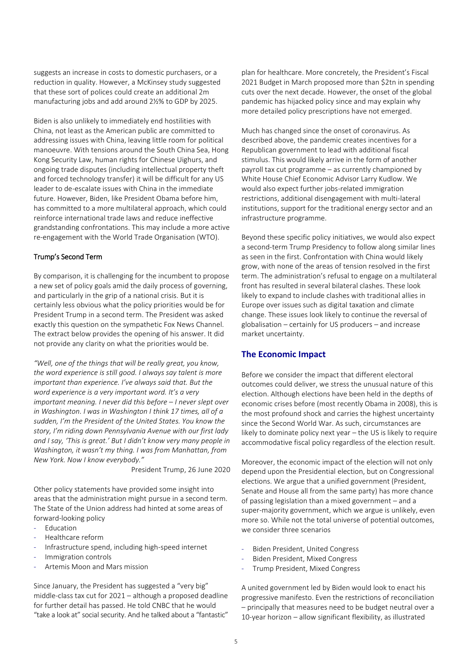suggests an increase in costs to domestic purchasers, or a reduction in quality. However, a McKinsey study suggested that these sort of polices could create an additional 2m manufacturing jobs and add around 2½% to GDP by 2025.

Biden is also unlikely to immediately end hostilities with China, not least as the American public are committed to addressing issues with China, leaving little room for political manoeuvre. With tensions around the South China Sea, Hong Kong Security Law, human rights for Chinese Uighurs, and ongoing trade disputes (including intellectual property theft and forced technology transfer) it will be difficult for any US leader to de-escalate issues with China in the immediate future. However, Biden, like President Obama before him, has committed to a more multilateral approach, which could reinforce international trade laws and reduce ineffective grandstanding confrontations. This may include a more active re-engagement with the World Trade Organisation (WTO).

#### Trump's Second Term

By comparison, it is challenging for the incumbent to propose a new set of policy goals amid the daily process of governing, and particularly in the grip of a national crisis. But it is certainly less obvious what the policy priorities would be for President Trump in a second term. The President was asked exactly this question on the sympathetic Fox News Channel. The extract below provides the opening of his answer. It did not provide any clarity on what the priorities would be.

*"Well, one of the things that will be really great, you know, the word experience is still good. I always say talent is more important than experience. I've always said that. But the word experience is a very important word. It's a very important meaning. I never did this before* – *I never slept over in Washington. I was in Washington I think 17 times, all of a sudden, I'm the President of the United States. You know the story, I'm riding down Pennsylvania Avenue with our first lady and I say, 'This is great.' But I didn't know very many people in Washington, it wasn't my thing. I was from Manhattan, from New York. Now I know everybody."*

President Trump, 26 June 2020

Other policy statements have provided some insight into areas that the administration might pursue in a second term. The State of the Union address had hinted at some areas of forward-looking policy

- Education
- Healthcare reform
- Infrastructure spend, including high-speed internet
- Immigration controls
- Artemis Moon and Mars mission

Since January, the President has suggested a "very big" middle-class tax cut for 2021 – although a proposed deadline for further detail has passed. He told CNBC that he would "take a look at" social security. And he talked about a "fantastic"

plan for healthcare. More concretely, the President's Fiscal 2021 Budget in March proposed more than \$2tn in spending cuts over the next decade. However, the onset of the global pandemic has hijacked policy since and may explain why more detailed policy prescriptions have not emerged.

Much has changed since the onset of coronavirus. As described above, the pandemic creates incentives for a Republican government to lead with additional fiscal stimulus. This would likely arrive in the form of another payroll tax cut programme – as currently championed by White House Chief Economic Advisor Larry Kudlow. We would also expect further jobs-related immigration restrictions, additional disengagement with multi-lateral institutions, support for the traditional energy sector and an infrastructure programme.

Beyond these specific policy initiatives, we would also expect a second-term Trump Presidency to follow along similar lines as seen in the first. Confrontation with China would likely grow, with none of the areas of tension resolved in the first term. The administration's refusal to engage on a multilateral front has resulted in several bilateral clashes. These look likely to expand to include clashes with traditional allies in Europe over issues such as digital taxation and climate change. These issues look likely to continue the reversal of globalisation – certainly for US producers – and increase market uncertainty.

# **The Economic Impact**

Before we consider the impact that different electoral outcomes could deliver, we stress the unusual nature of this election. Although elections have been held in the depths of economic crises before (most recently Obama in 2008), this is the most profound shock and carries the highest uncertainty since the Second World War. As such, circumstances are likely to dominate policy next year – the US is likely to require accommodative fiscal policy regardless of the election result.

Moreover, the economic impact of the election will not only depend upon the Presidential election, but on Congressional elections. We argue that a unified government (President, Senate and House all from the same party) has more chance of passing legislation than a mixed government – and a super-majority government, which we argue is unlikely, even more so. While not the total universe of potential outcomes, we consider three scenarios

- Biden President, United Congress
- Biden President, Mixed Congress
- Trump President, Mixed Congress

A united government led by Biden would look to enact his progressive manifesto. Even the restrictions of reconciliation – principally that measures need to be budget neutral over a 10-year horizon – allow significant flexibility, as illustrated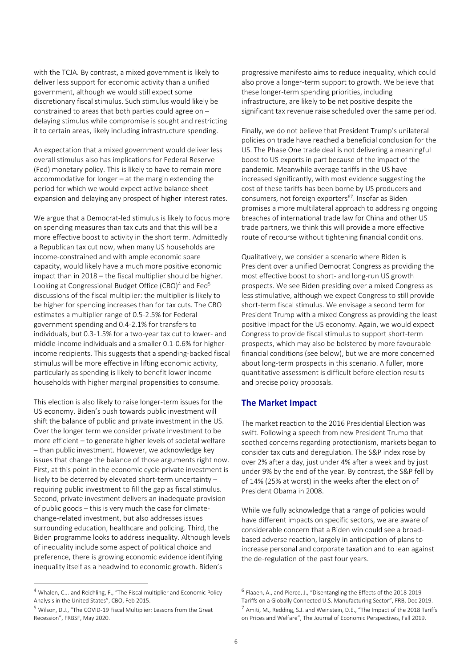with the TCJA. By contrast, a mixed government is likely to deliver less support for economic activity than a unified government, although we would still expect some discretionary fiscal stimulus. Such stimulus would likely be constrained to areas that both parties could agree on – delaying stimulus while compromise is sought and restricting it to certain areas, likely including infrastructure spending.

An expectation that a mixed government would deliver less overall stimulus also has implications for Federal Reserve (Fed) monetary policy. This is likely to have to remain more accommodative for longer – at the margin extending the period for which we would expect active balance sheet expansion and delaying any prospect of higher interest rates.

We argue that a Democrat-led stimulus is likely to focus more on spending measures than tax cuts and that this will be a more effective boost to activity in the short term. Admittedly a Republican tax cut now, when many US households are income-constrained and with ample economic spare capacity, would likely have a much more positive economic impact than in 2018 – the fiscal multiplier should be higher. Looking at Congressional Budget Office (CBO)<sup>4</sup> and Fed<sup>5</sup> discussions of the fiscal multiplier: the multiplier is likely to be higher for spending increases than for tax cuts. The CBO estimates a multiplier range of 0.5-2.5% for Federal government spending and 0.4-2.1% for transfers to individuals, but 0.3-1.5% for a two-year tax cut to lower- and middle-income individuals and a smaller 0.1-0.6% for higherincome recipients. This suggests that a spending-backed fiscal stimulus will be more effective in lifting economic activity, particularly as spending is likely to benefit lower income households with higher marginal propensities to consume.

This election is also likely to raise longer-term issues for the US economy. Biden's push towards public investment will shift the balance of public and private investment in the US. Over the longer term we consider private investment to be more efficient – to generate higher levels of societal welfare – than public investment. However, we acknowledge key issues that change the balance of those arguments right now. First, at this point in the economic cycle private investment is likely to be deterred by elevated short-term uncertainty – requiring public investment to fill the gap as fiscal stimulus. Second, private investment delivers an inadequate provision of public goods – this is very much the case for climatechange-related investment, but also addresses issues surrounding education, healthcare and policing. Third, the Biden programme looks to address inequality. Although levels of inequality include some aspect of political choice and preference, there is growing economic evidence identifying inequality itself as a headwind to economic growth. Biden's

 $\overline{a}$ 

progressive manifesto aims to reduce inequality, which could also prove a longer-term support to growth. We believe that these longer-term spending priorities, including infrastructure, are likely to be net positive despite the significant tax revenue raise scheduled over the same period.

Finally, we do not believe that President Trump's unilateral policies on trade have reached a beneficial conclusion for the US. The Phase One trade deal is not delivering a meaningful boost to US exports in part because of the impact of the pandemic. Meanwhile average tariffs in the US have increased significantly, with most evidence suggesting the cost of these tariffs has been borne by US producers and consumers, not foreign exporters<sup>67</sup>. Insofar as Biden promises a more multilateral approach to addressing ongoing breaches of international trade law for China and other US trade partners, we think this will provide a more effective route of recourse without tightening financial conditions.

Qualitatively, we consider a scenario where Biden is President over a unified Democrat Congress as providing the most effective boost to short- and long-run US growth prospects. We see Biden presiding over a mixed Congress as less stimulative, although we expect Congress to still provide short-term fiscal stimulus. We envisage a second term for President Trump with a mixed Congress as providing the least positive impact for the US economy. Again, we would expect Congress to provide fiscal stimulus to support short-term prospects, which may also be bolstered by more favourable financial conditions (see below), but we are more concerned about long-term prospects in this scenario. A fuller, more quantitative assessment is difficult before election results and precise policy proposals.

# **The Market Impact**

The market reaction to the 2016 Presidential Election was swift. Following a speech from new President Trump that soothed concerns regarding protectionism, markets began to consider tax cuts and deregulation. The S&P index rose by over 2% after a day, just under 4% after a week and by just under 9% by the end of the year. By contrast, the S&P fell by of 14% (25% at worst) in the weeks after the election of President Obama in 2008.

While we fully acknowledge that a range of policies would have different impacts on specific sectors, we are aware of considerable concern that a Biden win could see a broadbased adverse reaction, largely in anticipation of plans to increase personal and corporate taxation and to lean against the de-regulation of the past four years.

<sup>4</sup> Whalen, C.J. and Reichling, F., "The Fiscal multiplier and Economic Policy Analysis in the United States", CBO, Feb 2015.

<sup>5</sup> Wilson, D.J., "The COVID-19 Fiscal Multiplier: Lessons from the Great Recession", FRBSF, May 2020.

<sup>6</sup> Flaaen, A., and Pierce, J., "Disentangling the Effects of the 2018-2019 Tariffs on a Globally Connected U.S. Manufacturing Sector", FRB, Dec 2019. <sup>7</sup> Amiti, M., Redding, S.J. and Weinstein, D.E., "The Impact of the 2018 Tariffs on Prices and Welfare", The Journal of Economic Perspectives, Fall 2019.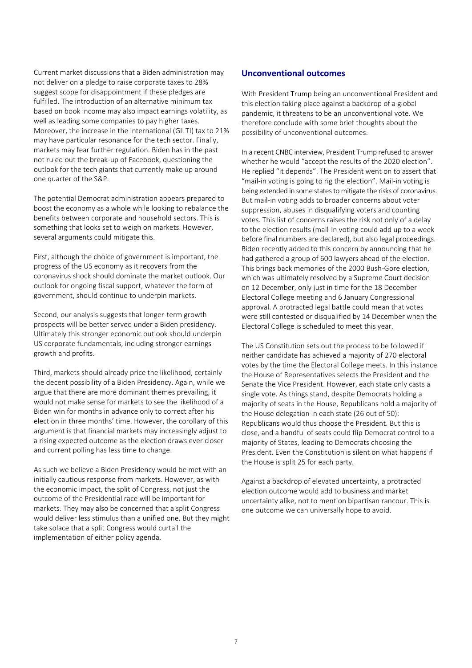Current market discussions that a Biden administration may not deliver on a pledge to raise corporate taxes to 28% suggest scope for disappointment if these pledges are fulfilled. The introduction of an alternative minimum tax based on book income may also impact earnings volatility, as well as leading some companies to pay higher taxes. Moreover, the increase in the international (GILTI) tax to 21% may have particular resonance for the tech sector. Finally, markets may fear further regulation. Biden has in the past not ruled out the break-up of Facebook, questioning the outlook for the tech giants that currently make up around one quarter of the S&P.

The potential Democrat administration appears prepared to boost the economy as a whole while looking to rebalance the benefits between corporate and household sectors. This is something that looks set to weigh on markets. However, several arguments could mitigate this.

First, although the choice of government is important, the progress of the US economy as it recovers from the coronavirus shock should dominate the market outlook. Our outlook for ongoing fiscal support, whatever the form of government, should continue to underpin markets.

Second, our analysis suggests that longer-term growth prospects will be better served under a Biden presidency. Ultimately this stronger economic outlook should underpin US corporate fundamentals, including stronger earnings growth and profits.

Third, markets should already price the likelihood, certainly the decent possibility of a Biden Presidency. Again, while we argue that there are more dominant themes prevailing, it would not make sense for markets to see the likelihood of a Biden win for months in advance only to correct after his election in three months' time. However, the corollary of this argument is that financial markets may increasingly adjust to a rising expected outcome as the election draws ever closer and current polling has less time to change.

As such we believe a Biden Presidency would be met with an initially cautious response from markets. However, as with the economic impact, the split of Congress, not just the outcome of the Presidential race will be important for markets. They may also be concerned that a split Congress would deliver less stimulus than a unified one. But they might take solace that a split Congress would curtail the implementation of either policy agenda.

# **Unconventional outcomes**

With President Trump being an unconventional President and this election taking place against a backdrop of a global pandemic, it threatens to be an unconventional vote. We therefore conclude with some brief thoughts about the possibility of unconventional outcomes.

In a recent CNBC interview, President Trump refused to answer whether he would "accept the results of the 2020 election". He replied "it depends". The President went on to assert that "mail-in voting is going to rig the election". Mail-in voting is being extended in some states to mitigate the risks of coronavirus. But mail-in voting adds to broader concerns about voter suppression, abuses in disqualifying voters and counting votes. This list of concerns raises the risk not only of a delay to the election results (mail-in voting could add up to a week before final numbers are declared), but also legal proceedings. Biden recently added to this concern by announcing that he had gathered a group of 600 lawyers ahead of the election. This brings back memories of the 2000 Bush-Gore election, which was ultimately resolved by a Supreme Court decision on 12 December, only just in time for the 18 December Electoral College meeting and 6 January Congressional approval. A protracted legal battle could mean that votes were still contested or disqualified by 14 December when the Electoral College is scheduled to meet this year.

The US Constitution sets out the process to be followed if neither candidate has achieved a majority of 270 electoral votes by the time the Electoral College meets. In this instance the House of Representatives selects the President and the Senate the Vice President. However, each state only casts a single vote. As things stand, despite Democrats holding a majority of seats in the House, Republicans hold a majority of the House delegation in each state (26 out of 50): Republicans would thus choose the President. But this is close, and a handful of seats could flip Democrat control to a majority of States, leading to Democrats choosing the President. Even the Constitution is silent on what happens if the House is split 25 for each party.

Against a backdrop of elevated uncertainty, a protracted election outcome would add to business and market uncertainty alike, not to mention bipartisan rancour. This is one outcome we can universally hope to avoid.